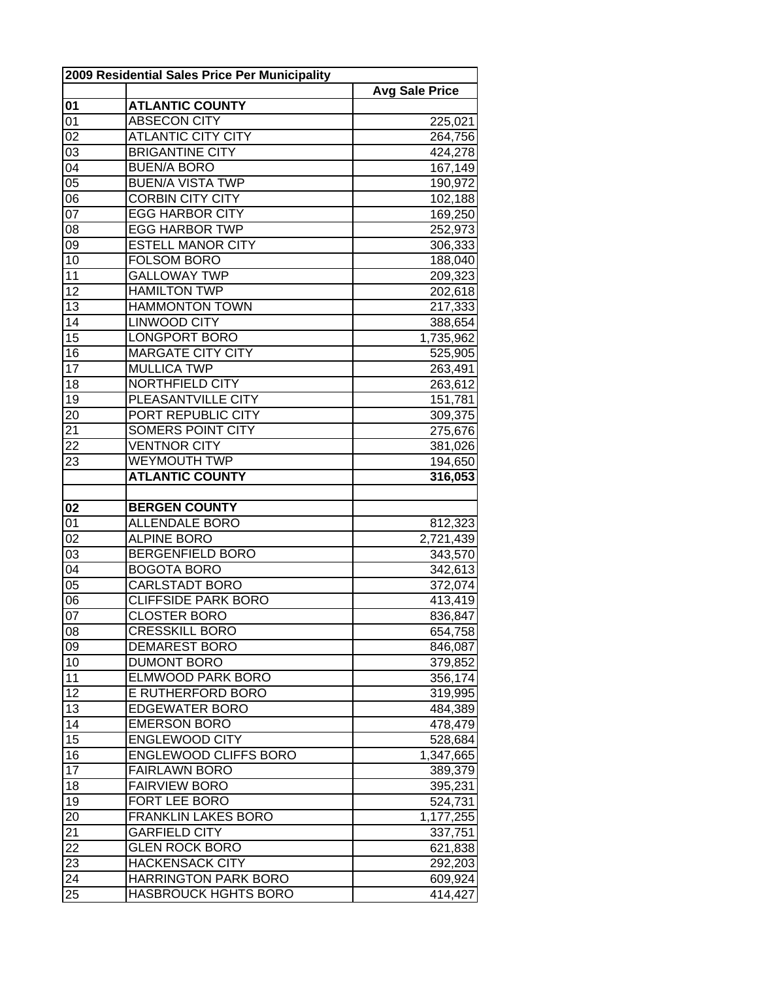| 2009 Residential Sales Price Per Municipality |                              |                       |
|-----------------------------------------------|------------------------------|-----------------------|
|                                               |                              | <b>Avg Sale Price</b> |
| 01                                            | <b>ATLANTIC COUNTY</b>       |                       |
| 01                                            | <b>ABSECON CITY</b>          | 225,021               |
| 02                                            | <b>ATLANTIC CITY CITY</b>    | 264,756               |
| 03                                            | <b>BRIGANTINE CITY</b>       | 424,278               |
| 04                                            | <b>BUEN/A BORO</b>           | 167,149               |
| $\overline{05}$                               | <b>BUEN/A VISTA TWP</b>      | 190,972               |
| $\overline{06}$                               | <b>CORBIN CITY CITY</b>      | 102,188               |
| 07                                            | <b>EGG HARBOR CITY</b>       | 169,250               |
| 08                                            | <b>EGG HARBOR TWP</b>        | 252,973               |
| 09                                            | <b>ESTELL MANOR CITY</b>     | 306,333               |
| 10                                            | <b>FOLSOM BORO</b>           | 188,040               |
| 11                                            | <b>GALLOWAY TWP</b>          | 209,323               |
| 12                                            | <b>HAMILTON TWP</b>          | 202,618               |
| 13                                            | <b>HAMMONTON TOWN</b>        | 217,333               |
| 14                                            | <b>LINWOOD CITY</b>          | 388,654               |
| $\overline{15}$                               | <b>LONGPORT BORO</b>         | 1,735,962             |
| 16                                            | <b>MARGATE CITY CITY</b>     | 525,905               |
| $\overline{17}$                               | <b>MULLICA TWP</b>           | 263,491               |
| 18                                            | NORTHFIELD CITY              | 263,612               |
| 19                                            | PLEASANTVILLE CITY           | 151,781               |
| 20                                            | PORT REPUBLIC CITY           | 309,375               |
| 21                                            | SOMERS POINT CITY            | 275,676               |
| 22                                            | <b>VENTNOR CITY</b>          | 381,026               |
| 23                                            | <b>WEYMOUTH TWP</b>          | 194,650               |
|                                               | <b>ATLANTIC COUNTY</b>       | 316,053               |
|                                               |                              |                       |
| 02                                            | <b>BERGEN COUNTY</b>         |                       |
| 01                                            | <b>ALLENDALE BORO</b>        | 812,323               |
| 02                                            | <b>ALPINE BORO</b>           | 2,721,439             |
| 03                                            | <b>BERGENFIELD BORO</b>      | 343,570               |
| $\overline{04}$                               | <b>BOGOTA BORO</b>           | 342,613               |
| $\overline{05}$                               | <b>CARLSTADT BORO</b>        | 372,074               |
| 06                                            | <b>CLIFFSIDE PARK BORO</b>   | 413,419               |
| 07                                            | <b>CLOSTER BORO</b>          | 836,847               |
| 08                                            | <b>CRESSKILL BORO</b>        | 654,758               |
| 09                                            | <b>DEMAREST BORO</b>         | 846,087               |
| 10                                            | <b>DUMONT BORO</b>           | 379,852               |
| 11                                            | <b>ELMWOOD PARK BORO</b>     | 356,174               |
| 12                                            | E RUTHERFORD BORO            | 319,995               |
| 13                                            | <b>EDGEWATER BORO</b>        | 484,389               |
| 14                                            | <b>EMERSON BORO</b>          | 478,479               |
| 15                                            | <b>ENGLEWOOD CITY</b>        | 528,684               |
| 16                                            | <b>ENGLEWOOD CLIFFS BORO</b> | 1,347,665             |
| 17                                            | <b>FAIRLAWN BORO</b>         | 389,379               |
| 18                                            | <b>FAIRVIEW BORO</b>         | 395,231               |
| 19                                            | <b>FORT LEE BORO</b>         | 524,731               |
| $2\overline{0}$                               | <b>FRANKLIN LAKES BORO</b>   | 1,177,255             |
| 21                                            | <b>GARFIELD CITY</b>         | 337,751               |
| 22                                            | <b>GLEN ROCK BORO</b>        | 621,838               |
| 23                                            | <b>HACKENSACK CITY</b>       | 292,203               |
| 24                                            | <b>HARRINGTON PARK BORO</b>  | 609,924               |
| $\overline{25}$                               | <b>HASBROUCK HGHTS BORO</b>  | 414,427               |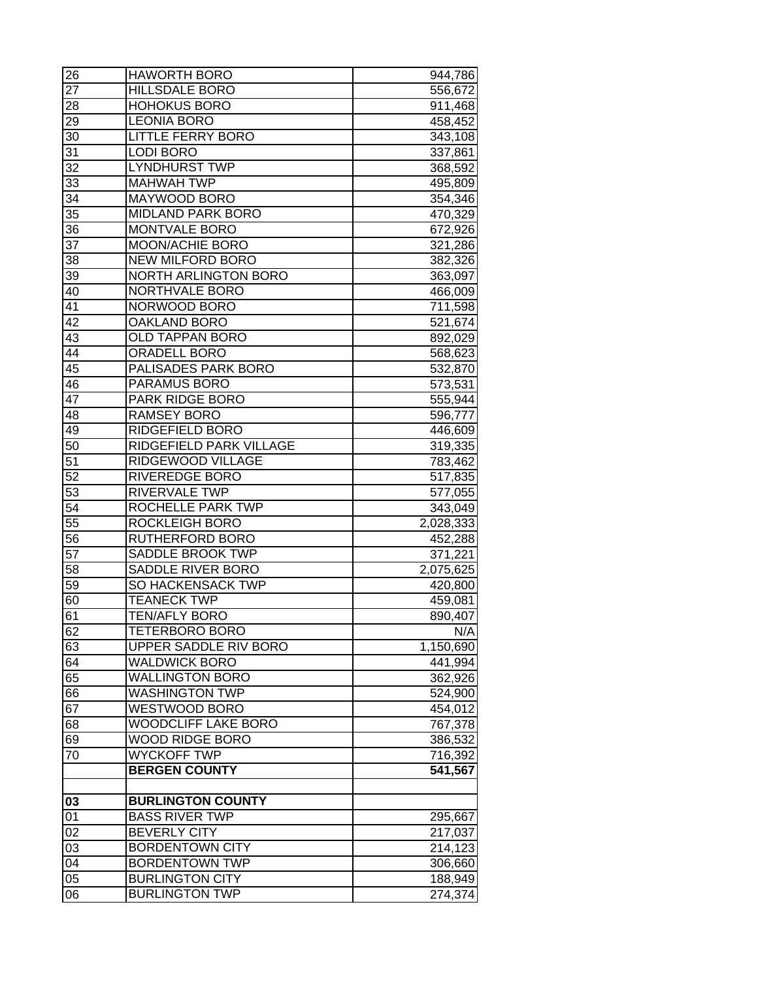| 26              | <b>HAWORTH BORO</b>         | 944,786            |
|-----------------|-----------------------------|--------------------|
| 27              | <b>HILLSDALE BORO</b>       | 556,672            |
| 28              | <b>HOHOKUS BORO</b>         | 911,468            |
| 29              | <b>LEONIA BORO</b>          | 458,452            |
| 30              | <b>LITTLE FERRY BORO</b>    | 343,108            |
| 31              | <b>LODI BORO</b>            | 337,861            |
| 32              | <b>LYNDHURST TWP</b>        | 368,592            |
| 33              | <b>MAHWAH TWP</b>           | 495,809            |
| 34              | MAYWOOD BORO                | 354,346            |
| $\overline{35}$ | MIDLAND PARK BORO           | 470,329            |
| 36              | <b>MONTVALE BORO</b>        | 672,926            |
| $\overline{37}$ | <b>MOON/ACHIE BORO</b>      | 321,286            |
| 38              | <b>NEW MILFORD BORO</b>     | 382,326            |
| 39              | <b>NORTH ARLINGTON BORO</b> | 363,097            |
| 40              | NORTHVALE BORO              | 466,009            |
| 41              | NORWOOD BORO                | 711,598            |
| 42              | OAKLAND BORO                | 521,674            |
| 43              | <b>OLD TAPPAN BORO</b>      | 892,029            |
| 44              | <b>ORADELL BORO</b>         | 568,623            |
| 45              | PALISADES PARK BORO         | 532,870            |
| 46              | PARAMUS BORO                | 573,531            |
| 47              | <b>PARK RIDGE BORO</b>      | 555,944            |
| 48              | <b>RAMSEY BORO</b>          | 596,777            |
| 49              | RIDGEFIELD BORO             | 446,609            |
| 50              | RIDGEFIELD PARK VILLAGE     |                    |
| 51              | RIDGEWOOD VILLAGE           | 319,335<br>783,462 |
| 52              | <b>RIVEREDGE BORO</b>       |                    |
| 53              | RIVERVALE TWP               | 517,835            |
|                 | <b>ROCHELLE PARK TWP</b>    | 577,055            |
| 54<br>55        |                             | 343,049            |
|                 | <b>ROCKLEIGH BORO</b>       | 2,028,333          |
| 56              | RUTHERFORD BORO             | 452,288            |
| 57              | SADDLE BROOK TWP            | 371,221            |
| 58              | <b>SADDLE RIVER BORO</b>    | 2,075,625          |
| 59              | SO HACKENSACK TWP           | 420,800            |
| 60              | <b>TEANECK TWP</b>          | 459,081            |
| 61              | <b>TEN/AFLY BORO</b>        | 890,407            |
| 62              | <b>TETERBORO BORO</b>       | N/A                |
| 63              | UPPER SADDLE RIV BORO       | 1,150,690          |
| 64              | <b>WALDWICK BORO</b>        | 441,994            |
| 65              | <b>WALLINGTON BORO</b>      | 362,926            |
| 66              | <b>WASHINGTON TWP</b>       | 524,900            |
| 67              | WESTWOOD BORO               | 454,012            |
| 68              | <b>WOODCLIFF LAKE BORO</b>  | 767,378            |
| 69              | <b>WOOD RIDGE BORO</b>      | 386,532            |
| 70              | <b>WYCKOFF TWP</b>          | 716,392            |
|                 | <b>BERGEN COUNTY</b>        | 541,567            |
|                 |                             |                    |
| 03              | <b>BURLINGTON COUNTY</b>    |                    |
| 01              | <b>BASS RIVER TWP</b>       | 295,667            |
| 02              | <b>BEVERLY CITY</b>         | 217,037            |
| 03              | <b>BORDENTOWN CITY</b>      | 214,123            |
| 04              | <b>BORDENTOWN TWP</b>       | 306,660            |
| 05              | <b>BURLINGTON CITY</b>      | 188,949            |
| 06              | <b>BURLINGTON TWP</b>       | 274,374            |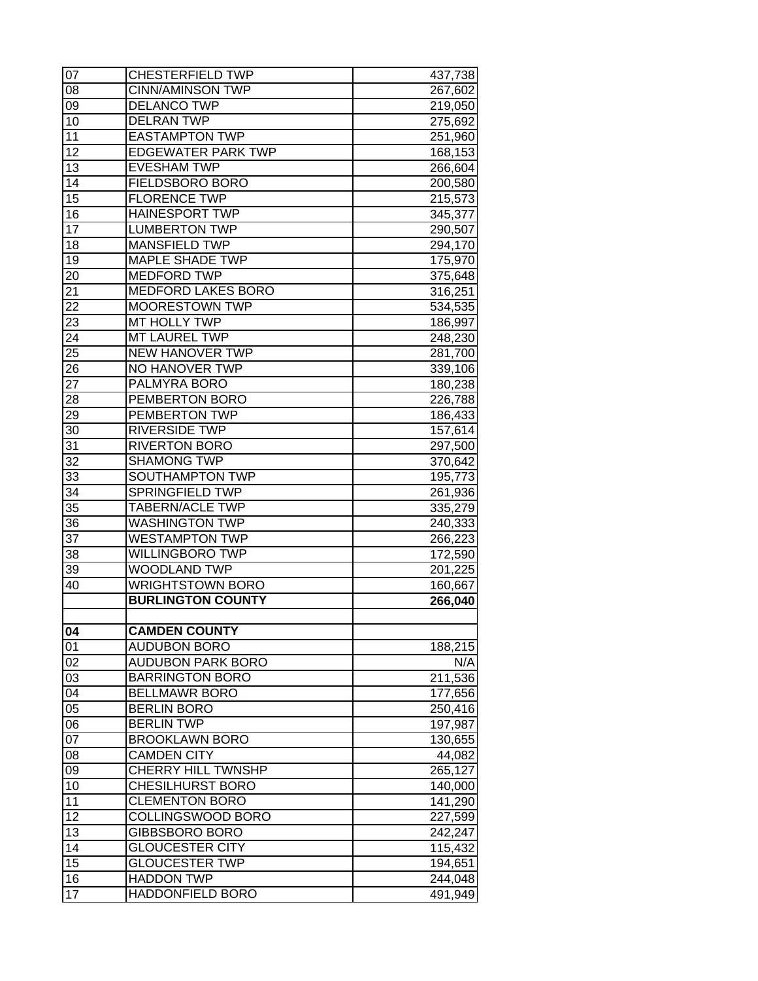| 07              | <b>CHESTERFIELD TWP</b>   | 437,738 |
|-----------------|---------------------------|---------|
| 08              | <b>CINN/AMINSON TWP</b>   | 267,602 |
| 09              | <b>DELANCO TWP</b>        | 219,050 |
| 10              | <b>DELRAN TWP</b>         | 275,692 |
| 11              | <b>EASTAMPTON TWP</b>     | 251,960 |
| 12              | <b>EDGEWATER PARK TWP</b> | 168,153 |
| 13              | <b>EVESHAM TWP</b>        | 266,604 |
| 14              | <b>FIELDSBORO BORO</b>    | 200,580 |
| $\overline{15}$ | <b>FLORENCE TWP</b>       | 215,573 |
| 16              | <b>HAINESPORT TWP</b>     | 345,377 |
| $\overline{17}$ | <b>LUMBERTON TWP</b>      | 290,507 |
| 18              | <b>MANSFIELD TWP</b>      | 294,170 |
| 19              | <b>MAPLE SHADE TWP</b>    | 175,970 |
| 20              | <b>MEDFORD TWP</b>        | 375,648 |
| 21              | <b>MEDFORD LAKES BORO</b> | 316,251 |
| 22              | <b>MOORESTOWN TWP</b>     | 534,535 |
| 23              | MT HOLLY TWP              | 186,997 |
| 24              | MT LAUREL TWP             | 248,230 |
| 25              | <b>NEW HANOVER TWP</b>    | 281,700 |
| 26              | NO HANOVER TWP            | 339,106 |
| $\overline{27}$ | <b>PALMYRA BORO</b>       | 180,238 |
| 28              | PEMBERTON BORO            | 226,788 |
| 29              | <b>PEMBERTON TWP</b>      | 186,433 |
| 30              | <b>RIVERSIDE TWP</b>      | 157,614 |
| 31              | <b>RIVERTON BORO</b>      | 297,500 |
| 32              | <b>SHAMONG TWP</b>        | 370,642 |
| 33              | <b>SOUTHAMPTON TWP</b>    | 195,773 |
| 34              | <b>SPRINGFIELD TWP</b>    | 261,936 |
| 35              | <b>TABERN/ACLE TWP</b>    | 335,279 |
| 36              | <b>WASHINGTON TWP</b>     | 240,333 |
| 37              | <b>WESTAMPTON TWP</b>     | 266,223 |
| 38              | <b>WILLINGBORO TWP</b>    | 172,590 |
| 39              | WOODLAND TWP              | 201,225 |
| 40              | <b>WRIGHTSTOWN BORO</b>   | 160,667 |
|                 | <b>BURLINGTON COUNTY</b>  | 266,040 |
| 04              | <b>CAMDEN COUNTY</b>      |         |
| 01              | <b>AUDUBON BORO</b>       | 188,215 |
| 02              | <b>AUDUBON PARK BORO</b>  | N/A     |
| 03              | <b>BARRINGTON BORO</b>    | 211,536 |
| 04              | <b>BELLMAWR BORO</b>      | 177,656 |
| $\overline{05}$ | <b>BERLIN BORO</b>        | 250,416 |
| 06              | <b>BERLIN TWP</b>         | 197,987 |
| 07              | <b>BROOKLAWN BORO</b>     | 130,655 |
| 08              | <b>CAMDEN CITY</b>        | 44,082  |
| 09              | CHERRY HILL TWNSHP        | 265,127 |
| 10              | <b>CHESILHURST BORO</b>   | 140,000 |
| 11              | <b>CLEMENTON BORO</b>     | 141,290 |
| $\overline{12}$ | COLLINGSWOOD BORO         | 227,599 |
| 13              | <b>GIBBSBORO BORO</b>     | 242,247 |
| 14              | <b>GLOUCESTER CITY</b>    | 115,432 |
| 15              | <b>GLOUCESTER TWP</b>     | 194,651 |
| 16              | <b>HADDON TWP</b>         | 244,048 |
| 17              | <b>HADDONFIELD BORO</b>   | 491,949 |
|                 |                           |         |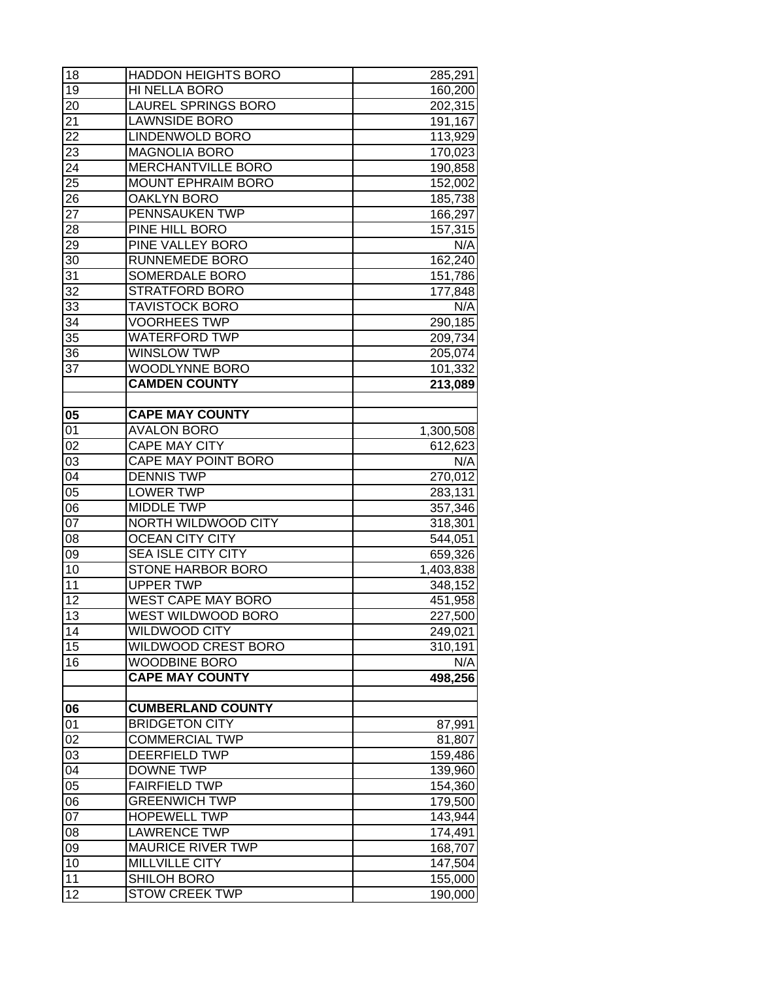| 18              | <b>HADDON HEIGHTS BORO</b> | 285,291              |
|-----------------|----------------------------|----------------------|
| 19              | HI NELLA BORO              | 160,200              |
| 20              | <b>LAUREL SPRINGS BORO</b> | 202,315              |
| 21              | <b>LAWNSIDE BORO</b>       | 191,167              |
| 22              | LINDENWOLD BORO            | 113,929              |
| 23              | <b>MAGNOLIA BORO</b>       | 170,023              |
| 24              | MERCHANTVILLE BORO         | 190,858              |
| 25              | <b>MOUNT EPHRAIM BORO</b>  | 152,002              |
| $2\overline{6}$ | <b>OAKLYN BORO</b>         | 185,738              |
| $\overline{27}$ | PENNSAUKEN TWP             | 166,297              |
| 28              | PINE HILL BORO             | 157,315              |
| $2\overline{9}$ | <b>PINE VALLEY BORO</b>    | N/A                  |
| 30              | RUNNEMEDE BORO             | 162,240              |
| 31              | SOMERDALE BORO             | 151,786              |
| 32              | <b>STRATFORD BORO</b>      | 177,848              |
| 33              | <b>TAVISTOCK BORO</b>      | N/A                  |
| 34              | <b>VOORHEES TWP</b>        | 290,185              |
| 35              | <b>WATERFORD TWP</b>       | 209,734              |
| 36              | <b>WINSLOW TWP</b>         | 205,074              |
| 37              | WOODLYNNE BORO             | 101,332              |
|                 | <b>CAMDEN COUNTY</b>       | 213,089              |
|                 | <b>CAPE MAY COUNTY</b>     |                      |
| 05<br>01        | <b>AVALON BORO</b>         |                      |
| 02              | <b>CAPE MAY CITY</b>       | 1,300,508<br>612,623 |
| 03              | <b>CAPE MAY POINT BORO</b> | N/A                  |
| 04              | <b>DENNIS TWP</b>          | 270,012              |
| $\overline{05}$ | <b>LOWER TWP</b>           | 283,131              |
| 06              | <b>MIDDLE TWP</b>          | 357,346              |
| 07              | NORTH WILDWOOD CITY        | 318,301              |
| 08              | <b>OCEAN CITY CITY</b>     | 544,051              |
| 09              | <b>SEA ISLE CITY CITY</b>  | 659,326              |
| 10              | <b>STONE HARBOR BORO</b>   | 1,403,838            |
| 11              | <b>UPPER TWP</b>           | 348,152              |
| $\overline{12}$ | <b>WEST CAPE MAY BORO</b>  | 451,958              |
| $\overline{13}$ | <b>WEST WILDWOOD BORO</b>  | 227,500              |
| 14              | <b>WILDWOOD CITY</b>       | 249,021              |
| 15              | <b>WILDWOOD CREST BORO</b> | 310,191              |
| 16              | <b>WOODBINE BORO</b>       | N/A                  |
|                 | <b>CAPE MAY COUNTY</b>     | 498,256              |
|                 |                            |                      |
| 06              | <b>CUMBERLAND COUNTY</b>   |                      |
| 01              | <b>BRIDGETON CITY</b>      | 87,991               |
| 02              | <b>COMMERCIAL TWP</b>      | 81,807               |
| 03              | <b>DEERFIELD TWP</b>       | 159,486              |
| $\overline{04}$ | <b>DOWNE TWP</b>           | 139,960              |
| $\overline{05}$ | <b>FAIRFIELD TWP</b>       | 154,360              |
| $\overline{06}$ | <b>GREENWICH TWP</b>       | 179,500              |
| 07              | <b>HOPEWELL TWP</b>        | 143,944              |
| $0\overline{8}$ | <b>LAWRENCE TWP</b>        | 174,491              |
| 09              | <b>MAURICE RIVER TWP</b>   | 168,707              |
| 10              | <b>MILLVILLE CITY</b>      | 147,504              |
| 11              | <b>SHILOH BORO</b>         | 155,000              |
| 12              | <b>STOW CREEK TWP</b>      | 190,000              |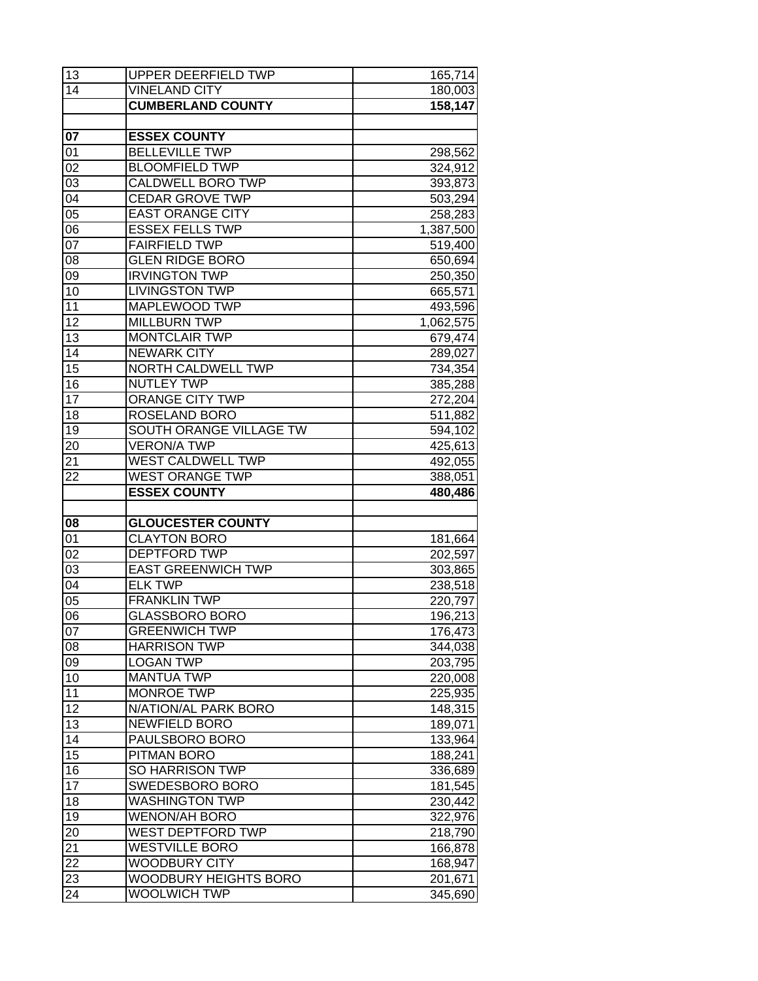| 13              | UPPER DEERFIELD TWP                                 | 165,714            |
|-----------------|-----------------------------------------------------|--------------------|
| 14              | <b>VINELAND CITY</b>                                | 180,003            |
|                 | <b>CUMBERLAND COUNTY</b>                            | 158,147            |
|                 |                                                     |                    |
| 07              | <b>ESSEX COUNTY</b>                                 |                    |
| 01              | <b>BELLEVILLE TWP</b>                               | 298,562            |
| 02              | <b>BLOOMFIELD TWP</b>                               | 324,912            |
| 03              | <b>CALDWELL BORO TWP</b>                            | 393,873            |
| 04              | <b>CEDAR GROVE TWP</b>                              | 503,294            |
| $\overline{05}$ | <b>EAST ORANGE CITY</b>                             | 258,283            |
| $\overline{06}$ | <b>ESSEX FELLS TWP</b>                              | 1,387,500          |
| $\overline{07}$ | <b>FAIRFIELD TWP</b>                                | 519,400            |
| 08              | <b>GLEN RIDGE BORO</b>                              | 650,694            |
| 09              | <b>IRVINGTON TWP</b>                                | 250,350            |
| $\overline{10}$ | <b>LIVINGSTON TWP</b>                               | 665,571            |
| 11              | MAPLEWOOD TWP                                       | 493,596            |
| 12              | <b>MILLBURN TWP</b>                                 | 1,062,575          |
| 13              | <b>MONTCLAIR TWP</b>                                | 679,474            |
| 14              | <b>NEWARK CITY</b>                                  | 289,027            |
| $\overline{15}$ | <b>NORTH CALDWELL TWP</b>                           | 734,354            |
| 16              | <b>NUTLEY TWP</b>                                   | 385,288            |
| $\overline{17}$ | <b>ORANGE CITY TWP</b>                              | 272,204            |
| 18              | ROSELAND BORO                                       | 511,882            |
| 19              | SOUTH ORANGE VILLAGE TW                             | 594,102            |
| 20              | <b>VERON/A TWP</b>                                  | 425,613            |
| 21              | <b>WEST CALDWELL TWP</b>                            | 492,055            |
| 22              | <b>WEST ORANGE TWP</b>                              | 388,051            |
|                 | <b>ESSEX COUNTY</b>                                 | 480,486            |
|                 |                                                     |                    |
|                 |                                                     |                    |
| 08              | <b>GLOUCESTER COUNTY</b>                            |                    |
| 01              | <b>CLAYTON BORO</b>                                 | 181,664            |
| 02              | <b>DEPTFORD TWP</b>                                 | 202,597            |
| 03              | <b>EAST GREENWICH TWP</b>                           | 303,865            |
| 04              | <b>ELK TWP</b>                                      | 238,518            |
| 05              | <b>FRANKLIN TWP</b>                                 | 220,797            |
| $\overline{06}$ | <b>GLASSBORO BORO</b>                               | 196,213            |
| 07              | <b>GREENWICH TWP</b>                                | 176,473            |
| 08              | <b>HARRISON TWP</b>                                 | 344,038            |
| 09              | <b>LOGAN TWP</b>                                    | 203,795            |
| 10              | <b>MANTUA TWP</b>                                   | 220,008            |
| 11              | <b>MONROE TWP</b>                                   | 225,935            |
| 12              | N/ATION/AL PARK BORO                                | 148,315            |
| 13              | <b>NEWFIELD BORO</b>                                | 189,071            |
| 14              | PAULSBORO BORO                                      | 133,964            |
| $\overline{15}$ | PITMAN BORO                                         | 188,241            |
| 16              | SO HARRISON TWP                                     | 336,689            |
| $\overline{17}$ | <b>SWEDESBORO BORO</b>                              | 181,545            |
| 18              | <b>WASHINGTON TWP</b>                               | 230,442            |
| 19              | <b>WENON/AH BORO</b>                                | 322,976            |
| 20              | WEST DEPTFORD TWP                                   | 218,790            |
| $\overline{21}$ | <b>WESTVILLE BORO</b>                               | 166,878            |
| 22              | WOODBURY CITY                                       | 168,947            |
| 23<br>24        | <b>WOODBURY HEIGHTS BORO</b><br><b>WOOLWICH TWP</b> | 201,671<br>345,690 |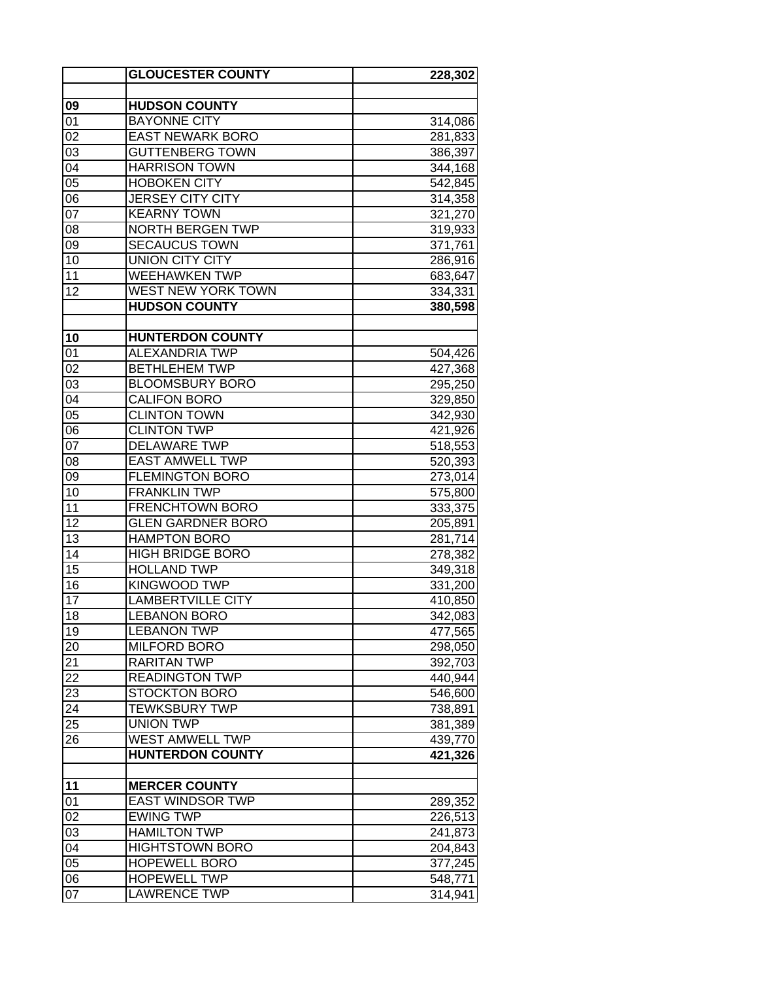|                 | <b>GLOUCESTER COUNTY</b>                 | 228,302            |
|-----------------|------------------------------------------|--------------------|
|                 |                                          |                    |
| 09              | <b>HUDSON COUNTY</b>                     |                    |
| 01              | <b>BAYONNE CITY</b>                      | 314,086            |
| 02              | <b>EAST NEWARK BORO</b>                  | 281,833            |
| 03              | <b>GUTTENBERG TOWN</b>                   | 386,397            |
| 04              | <b>HARRISON TOWN</b>                     | 344,168            |
| $\overline{05}$ | <b>HOBOKEN CITY</b>                      | 542,845            |
| 06              | <b>JERSEY CITY CITY</b>                  | 314,358            |
| $\overline{07}$ | <b>KEARNY TOWN</b>                       | 321,270            |
| 08              | <b>NORTH BERGEN TWP</b>                  | 319,933            |
| 09              | <b>SECAUCUS TOWN</b>                     | 371,761            |
| 10              | <b>UNION CITY CITY</b>                   | 286,916            |
| 11              | <b>WEEHAWKEN TWP</b>                     | 683,647            |
| 12              | <b>WEST NEW YORK TOWN</b>                | 334,331            |
|                 | <b>HUDSON COUNTY</b>                     | 380,598            |
|                 |                                          |                    |
| 10              | <b>HUNTERDON COUNTY</b>                  |                    |
| 01              | <b>ALEXANDRIA TWP</b>                    | 504,426            |
| 02              | <b>BETHLEHEM TWP</b>                     | 427,368            |
| 03              | <b>BLOOMSBURY BORO</b>                   | 295,250            |
| $\overline{04}$ | <b>CALIFON BORO</b>                      | 329,850            |
| $\overline{05}$ | <b>CLINTON TOWN</b>                      | 342,930            |
| $\overline{06}$ | <b>CLINTON TWP</b>                       | 421,926            |
| 07              | <b>DELAWARE TWP</b>                      | 518,553            |
| 08              | <b>EAST AMWELL TWP</b>                   | 520,393            |
| 09              | <b>FLEMINGTON BORO</b>                   | 273,014            |
| 10              | <b>FRANKLIN TWP</b>                      | 575,800            |
| 11              | <b>FRENCHTOWN BORO</b>                   | 333,375            |
| 12              | <b>GLEN GARDNER BORO</b>                 | 205,891            |
| 13              | <b>HAMPTON BORO</b>                      | 281,714            |
| 14              | <b>HIGH BRIDGE BORO</b>                  | 278,382            |
| $\overline{15}$ | <b>HOLLAND TWP</b>                       | 349,318            |
| 16              | <b>KINGWOOD TWP</b>                      | 331,200            |
| $\overline{17}$ | <b>LAMBERTVILLE CITY</b>                 | 410,850            |
| 18              | <b>LEBANON BORO</b>                      | 342,083            |
| 19              | <b>LEBANON TWP</b>                       | 477,565            |
| 20              | <b>MILFORD BORO</b>                      | 298,050            |
| 21              | <b>RARITAN TWP</b>                       | 392,703            |
| 22              | <b>READINGTON TWP</b>                    | 440,944            |
| 23              | <b>STOCKTON BORO</b>                     | 546,600            |
| 24              | <b>TEWKSBURY TWP</b><br><b>UNION TWP</b> | 738,891            |
| 25<br>26        | <b>WEST AMWELL TWP</b>                   | 381,389            |
|                 |                                          | 439,770            |
|                 | <b>HUNTERDON COUNTY</b>                  | 421,326            |
|                 | <b>MERCER COUNTY</b>                     |                    |
| 11<br>01        | <b>EAST WINDSOR TWP</b>                  |                    |
| 02              | <b>EWING TWP</b>                         | 289,352<br>226,513 |
| 03              | <b>HAMILTON TWP</b>                      |                    |
| 04              | <b>HIGHTSTOWN BORO</b>                   | 241,873            |
| 05              | <b>HOPEWELL BORO</b>                     | 204,843<br>377,245 |
| $0\overline{6}$ | <b>HOPEWELL TWP</b>                      | 548,771            |
| $\overline{07}$ | <b>LAWRENCE TWP</b>                      | 314,941            |
|                 |                                          |                    |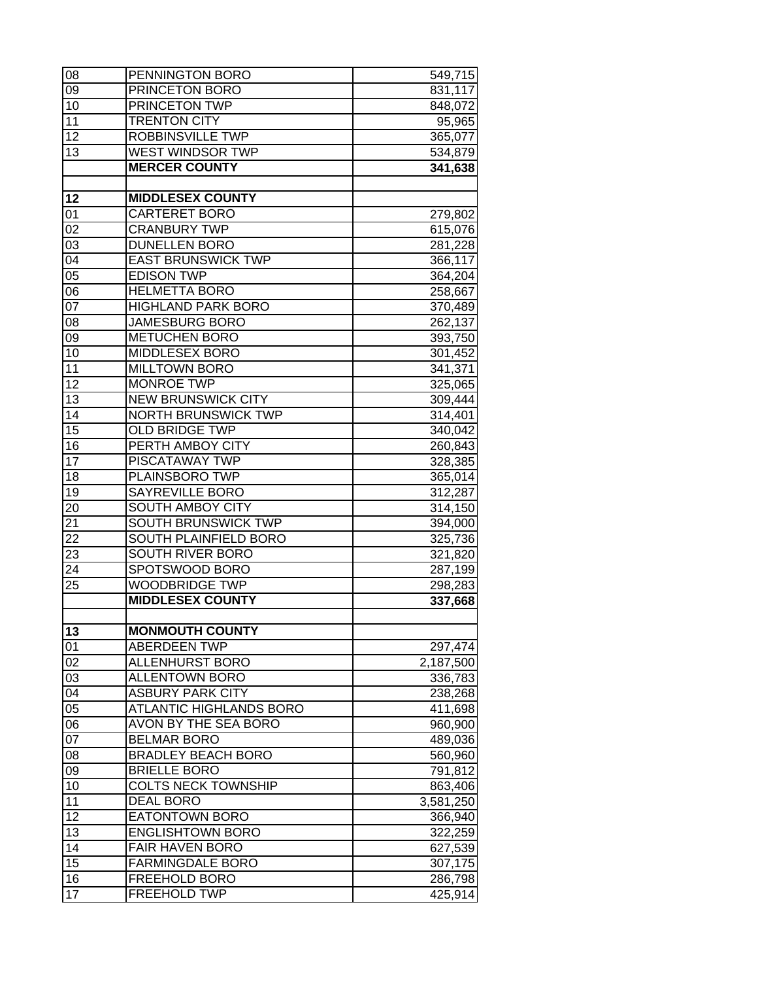| 08                                 | PENNINGTON BORO                                               | 549,715            |
|------------------------------------|---------------------------------------------------------------|--------------------|
| 09                                 | PRINCETON BORO                                                | 831,117            |
| 10                                 | PRINCETON TWP                                                 | 848,072            |
| 11                                 | <b>TRENTON CITY</b>                                           | 95,965             |
| $\overline{12}$                    | <b>ROBBINSVILLE TWP</b>                                       | 365,077            |
| 13                                 | <b>WEST WINDSOR TWP</b>                                       | 534,879            |
|                                    | <b>MERCER COUNTY</b>                                          | 341,638            |
| 12                                 | <b>MIDDLESEX COUNTY</b>                                       |                    |
| 01                                 | <b>CARTERET BORO</b>                                          | 279,802            |
| $\overline{02}$                    | <b>CRANBURY TWP</b>                                           | 615,076            |
| 03                                 | <b>DUNELLEN BORO</b>                                          | 281,228            |
| $\overline{04}$                    | <b>EAST BRUNSWICK TWP</b>                                     | 366,117            |
| 05                                 | <b>EDISON TWP</b>                                             | 364,204            |
| 06                                 | <b>HELMETTA BORO</b>                                          |                    |
| $\overline{07}$                    | <b>HIGHLAND PARK BORO</b>                                     | 258,667<br>370,489 |
| 08                                 | <b>JAMESBURG BORO</b>                                         | 262,137            |
| 09                                 | <b>METUCHEN BORO</b>                                          | 393,750            |
| 10                                 | <b>MIDDLESEX BORO</b>                                         | 301,452            |
| $\overline{11}$                    | <b>MILLTOWN BORO</b>                                          | 341,371            |
| $\overline{12}$                    | <b>MONROE TWP</b>                                             | 325,065            |
| 13                                 | <b>NEW BRUNSWICK CITY</b>                                     | 309,444            |
| 14                                 | <b>NORTH BRUNSWICK TWP</b>                                    | 314,401            |
| 15                                 | <b>OLD BRIDGE TWP</b>                                         | 340,042            |
| 16                                 | PERTH AMBOY CITY                                              | 260,843            |
| 17                                 | PISCATAWAY TWP                                                | 328,385            |
| 18                                 | PLAINSBORO TWP                                                | 365,014            |
| 19                                 | <b>SAYREVILLE BORO</b>                                        | 312,287            |
| 20                                 | <b>SOUTH AMBOY CITY</b>                                       | 314,150            |
| 21                                 | SOUTH BRUNSWICK TWP                                           | 394,000            |
| 22                                 | SOUTH PLAINFIELD BORO                                         | 325,736            |
| 23                                 | <b>SOUTH RIVER BORO</b>                                       | 321,820            |
| 24                                 | SPOTSWOOD BORO                                                | 287,199            |
| 25                                 | <b>WOODBRIDGE TWP</b>                                         | 298,283            |
|                                    | <b>MIDDLESEX COUNTY</b>                                       | 337,668            |
|                                    |                                                               |                    |
| 13                                 | <b>MONMOUTH COUNTY</b>                                        |                    |
| 01                                 | <b>ABERDEEN TWP</b>                                           | 297,474            |
| 02                                 | <b>ALLENHURST BORO</b>                                        | 2,187,500          |
| 03                                 | <b>ALLENTOWN BORO</b>                                         | 336,783            |
| 04<br>$\overline{05}$              | <b>ASBURY PARK CITY</b>                                       | 238,268            |
|                                    | <b>ATLANTIC HIGHLANDS BORO</b><br><b>AVON BY THE SEA BORO</b> | 411,698            |
| $\overline{06}$<br>$\overline{07}$ | <b>BELMAR BORO</b>                                            | 960,900            |
| 08                                 | <b>BRADLEY BEACH BORO</b>                                     | 489,036            |
| $\overline{09}$                    | <b>BRIELLE BORO</b>                                           | 560,960            |
| 10                                 | <b>COLTS NECK TOWNSHIP</b>                                    | 791,812            |
| 11                                 |                                                               | 863,406            |
| 12                                 | <b>DEAL BORO</b>                                              | 3,581,250          |
|                                    | <b>EATONTOWN BORO</b><br><b>ENGLISHTOWN BORO</b>              | 366,940            |
| 13                                 | <b>FAIR HAVEN BORO</b>                                        | 322,259            |
| 14<br>15                           | <b>FARMINGDALE BORO</b>                                       | 627,539            |
| 16                                 | FREEHOLD BORO                                                 | 307,175            |
| $\overline{17}$                    | <b>FREEHOLD TWP</b>                                           | 286,798            |
|                                    |                                                               | 425,914            |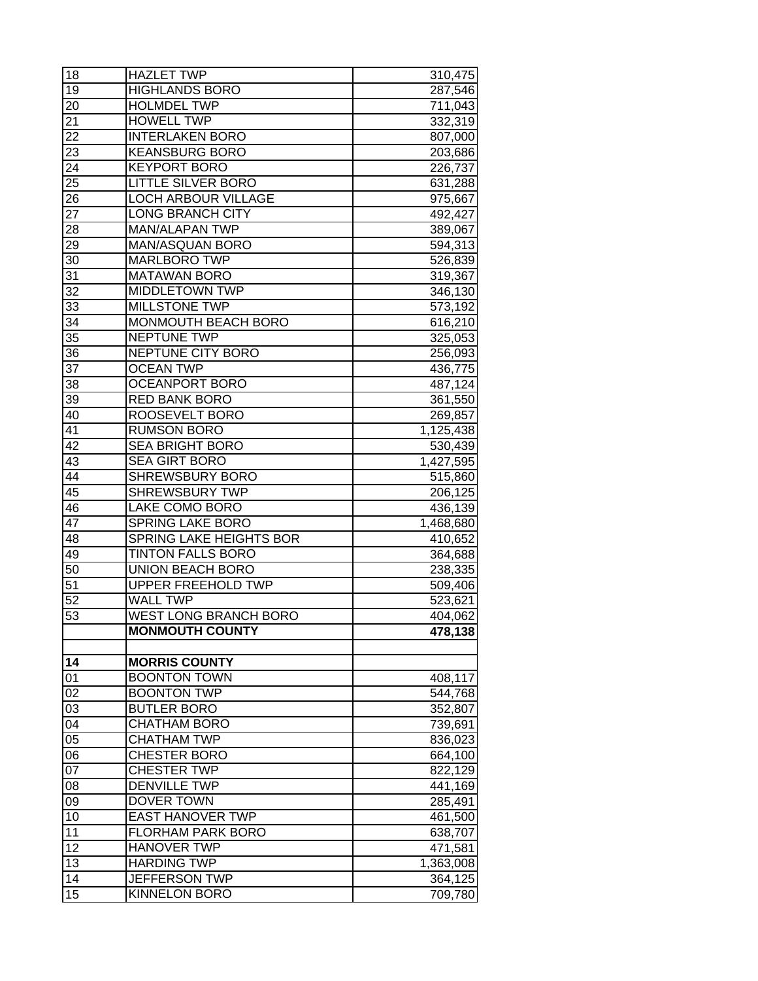| 18              | <b>HAZLET TWP</b>                                      | 310,475   |
|-----------------|--------------------------------------------------------|-----------|
| 19              | <b>HIGHLANDS BORO</b>                                  | 287,546   |
| 20              | <b>HOLMDEL TWP</b>                                     | 711,043   |
| 21              | <b>HOWELL TWP</b>                                      | 332,319   |
| 22              | <b>INTERLAKEN BORO</b>                                 | 807,000   |
| 23              | <b>KEANSBURG BORO</b>                                  | 203,686   |
| 24              | <b>KEYPORT BORO</b>                                    | 226,737   |
| $\overline{25}$ | <b>LITTLE SILVER BORO</b>                              | 631,288   |
| 26              | <b>LOCH ARBOUR VILLAGE</b>                             | 975,667   |
| 27              | <b>LONG BRANCH CITY</b>                                | 492,427   |
| 28              | <b>MAN/ALAPAN TWP</b>                                  | 389,067   |
| $2\overline{9}$ | MAN/ASQUAN BORO                                        | 594,313   |
| 30              | <b>MARLBORO TWP</b>                                    | 526,839   |
| 31              | <b>MATAWAN BORO</b>                                    |           |
| 32              | <b>MIDDLETOWN TWP</b>                                  | 319,367   |
|                 |                                                        | 346,130   |
| 33<br>34        | <b>MILLSTONE TWP</b><br>MONMOUTH BEACH BORO            | 573,192   |
|                 |                                                        | 616,210   |
| 35              | NEPTUNE TWP                                            | 325,053   |
| 36              | <b>NEPTUNE CITY BORO</b>                               | 256,093   |
| 37              | <b>OCEAN TWP</b>                                       | 436,775   |
| 38              | <b>OCEANPORT BORO</b>                                  | 487,124   |
| 39              | <b>RED BANK BORO</b>                                   | 361,550   |
| 40              | ROOSEVELT BORO                                         | 269,857   |
| 41              | <b>RUMSON BORO</b>                                     | 1,125,438 |
| 42              | <b>SEA BRIGHT BORO</b>                                 | 530,439   |
| 43              | <b>SEA GIRT BORO</b>                                   | 1,427,595 |
| 44              | <b>SHREWSBURY BORO</b>                                 | 515,860   |
| 45              | <b>SHREWSBURY TWP</b>                                  | 206,125   |
| 46              | LAKE COMO BORO                                         | 436,139   |
| $\overline{47}$ | <b>SPRING LAKE BORO</b>                                | 1,468,680 |
| 48              | SPRING LAKE HEIGHTS BOR                                | 410,652   |
| 49              | <b>TINTON FALLS BORO</b>                               | 364,688   |
| 50              | <b>UNION BEACH BORO</b>                                | 238,335   |
| 51              | UPPER FREEHOLD TWP<br><b>WALL TWP</b>                  | 509,406   |
| $\overline{52}$ |                                                        | 523,621   |
| $\overline{53}$ | <b>WEST LONG BRANCH BORO</b><br><b>MONMOUTH COUNTY</b> | 404,062   |
|                 |                                                        | 478,138   |
| 14              | <b>MORRIS COUNTY</b>                                   |           |
| 01              | <b>BOONTON TOWN</b>                                    | 408,117   |
| 02              | <b>BOONTON TWP</b>                                     | 544,768   |
| 03              | <b>BUTLER BORO</b>                                     | 352,807   |
| 04              | <b>CHATHAM BORO</b>                                    | 739,691   |
| $\overline{05}$ | <b>CHATHAM TWP</b>                                     | 836,023   |
| 06              | <b>CHESTER BORO</b>                                    | 664,100   |
| $\overline{07}$ | <b>CHESTER TWP</b>                                     | 822,129   |
| 08              | <b>DENVILLE TWP</b>                                    | 441,169   |
| 09              | <b>DOVER TOWN</b>                                      | 285,491   |
| 10              | <b>EAST HANOVER TWP</b>                                | 461,500   |
| 11              | FLORHAM PARK BORO                                      | 638,707   |
| 12              | <b>HANOVER TWP</b>                                     | 471,581   |
| 13              | <b>HARDING TWP</b>                                     | 1,363,008 |
| 14              | JEFFERSON TWP                                          | 364,125   |
| $\overline{15}$ | <b>KINNELON BORO</b>                                   | 709,780   |
|                 |                                                        |           |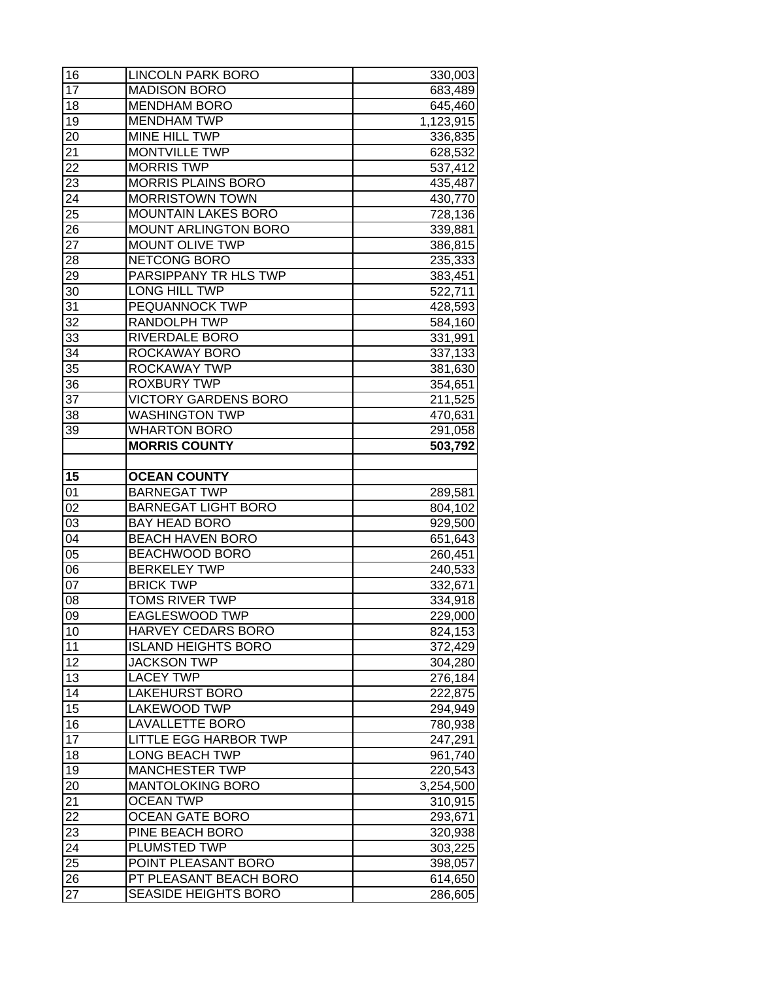| 16              | <b>LINCOLN PARK BORO</b>                         | 330,003            |
|-----------------|--------------------------------------------------|--------------------|
| 17              | <b>MADISON BORO</b>                              | 683,489            |
| 18              | <b>MENDHAM BORO</b>                              | 645,460            |
| 19              | <b>MENDHAM TWP</b>                               | 1,123,915          |
| 20              | MINE HILL TWP                                    | 336,835            |
| 21              | <b>MONTVILLE TWP</b>                             | 628,532            |
| 22              | <b>MORRIS TWP</b>                                | 537,412            |
| $2\overline{3}$ | <b>MORRIS PLAINS BORO</b>                        | 435,487            |
| $2\overline{4}$ | <b>MORRISTOWN TOWN</b>                           | 430,770            |
| 25              | <b>MOUNTAIN LAKES BORO</b>                       | 728,136            |
| 26              | <b>MOUNT ARLINGTON BORO</b>                      | 339,881            |
| $\overline{27}$ | <b>MOUNT OLIVE TWP</b>                           | 386,815            |
| 28              | NETCONG BORO                                     | 235,333            |
| 29              | PARSIPPANY TR HLS TWP                            | 383,451            |
| 30              | LONG HILL TWP                                    | 522,711            |
| 31              | PEQUANNOCK TWP                                   | 428,593            |
| 32              | RANDOLPH TWP                                     | 584,160            |
| $3\overline{3}$ | RIVERDALE BORO                                   | 331,991            |
| 34              | ROCKAWAY BORO                                    | 337,133            |
| 35              | ROCKAWAY TWP                                     | 381,630            |
| 36              | <b>ROXBURY TWP</b>                               | 354,651            |
| 37              | <b>VICTORY GARDENS BORO</b>                      | 211,525            |
| 38              | <b>WASHINGTON TWP</b>                            | 470,631            |
| 39              | <b>WHARTON BORO</b>                              | 291,058            |
|                 | <b>MORRIS COUNTY</b>                             | 503,792            |
|                 |                                                  |                    |
| 15              | <b>OCEAN COUNTY</b>                              |                    |
| 01              | <b>BARNEGAT TWP</b>                              | 289,581            |
| 02              | <b>BARNEGAT LIGHT BORO</b>                       | 804,102            |
| 03              | <b>BAY HEAD BORO</b>                             | 929,500            |
| 04              | <b>BEACH HAVEN BORO</b>                          | 651,643            |
| 05              | <b>BEACHWOOD BORO</b>                            | 260,451            |
| $0\overline{6}$ | <b>BERKELEY TWP</b>                              | 240,533            |
| $\overline{07}$ | <b>BRICK TWP</b>                                 | 332,671            |
| 08              | <b>TOMS RIVER TWP</b><br><b>EAGLESWOOD TWP</b>   | 334,918            |
| 09              |                                                  | 229,000            |
| 10              | HARVEY CEDARS BORO                               | 824,153            |
| 11              | <b>ISLAND HEIGHTS BORO</b><br><b>JACKSON TWP</b> | 372,429            |
| 12<br>13        | <b>LACEY TWP</b>                                 | 304,280            |
| 14              | <b>LAKEHURST BORO</b>                            | 276,184            |
| 15              | <b>LAKEWOOD TWP</b>                              | 222,875            |
| 16              | <b>LAVALLETTE BORO</b>                           | 294,949<br>780,938 |
| 17              | LITTLE EGG HARBOR TWP                            | 247,291            |
| 18              | <b>LONG BEACH TWP</b>                            | 961,740            |
| 19              | <b>MANCHESTER TWP</b>                            | 220,543            |
| 20              | <b>MANTOLOKING BORO</b>                          | 3,254,500          |
| 21              | <b>OCEAN TWP</b>                                 | 310,915            |
| 22              | <b>OCEAN GATE BORO</b>                           | 293,671            |
| 23              | PINE BEACH BORO                                  | 320,938            |
| 24              | PLUMSTED TWP                                     | 303,225            |
| 25              | POINT PLEASANT BORO                              | 398,057            |
| 26              | PT PLEASANT BEACH BORO                           | 614,650            |
| 27              | <b>SEASIDE HEIGHTS BORO</b>                      | 286,605            |
|                 |                                                  |                    |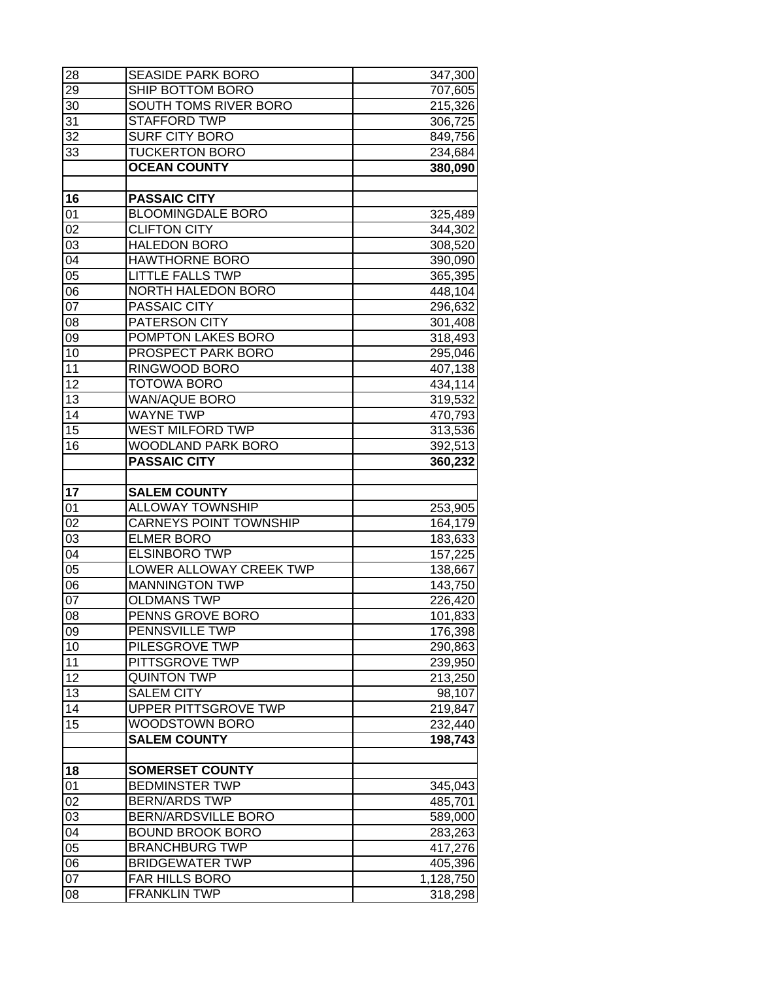| 28              | <b>SEASIDE PARK BORO</b>      | 347,300   |
|-----------------|-------------------------------|-----------|
| 29              | SHIP BOTTOM BORO              | 707,605   |
| 30              | SOUTH TOMS RIVER BORO         | 215,326   |
| 31              | <b>STAFFORD TWP</b>           | 306,725   |
| 32              | <b>SURF CITY BORO</b>         | 849,756   |
| 33              | <b>TUCKERTON BORO</b>         | 234,684   |
|                 | <b>OCEAN COUNTY</b>           | 380,090   |
|                 |                               |           |
| 16              | <b>PASSAIC CITY</b>           |           |
| 01              | <b>BLOOMINGDALE BORO</b>      | 325,489   |
| 02              | <b>CLIFTON CITY</b>           | 344,302   |
| $\overline{03}$ | <b>HALEDON BORO</b>           | 308,520   |
| $\overline{04}$ | <b>HAWTHORNE BORO</b>         | 390,090   |
| 05              | <b>LITTLE FALLS TWP</b>       | 365,395   |
| 06              | <b>NORTH HALEDON BORO</b>     | 448,104   |
| $\overline{07}$ | PASSAIC CITY                  | 296,632   |
| 08              | PATERSON CITY                 | 301,408   |
| 09              | POMPTON LAKES BORO            | 318,493   |
| 10              | <b>PROSPECT PARK BORO</b>     | 295,046   |
| $\overline{11}$ | RINGWOOD BORO                 | 407,138   |
| $\overline{12}$ | <b>TOTOWA BORO</b>            | 434,114   |
| $\overline{13}$ | <b>WAN/AQUE BORO</b>          | 319,532   |
| $\overline{14}$ | <b>WAYNE TWP</b>              | 470,793   |
| 15              | <b>WEST MILFORD TWP</b>       | 313,536   |
| 16              | <b>WOODLAND PARK BORO</b>     | 392,513   |
|                 | <b>PASSAIC CITY</b>           | 360,232   |
| 17              | <b>SALEM COUNTY</b>           |           |
| 01              | <b>ALLOWAY TOWNSHIP</b>       | 253,905   |
| 02              | <b>CARNEYS POINT TOWNSHIP</b> | 164,179   |
| $\overline{03}$ | <b>ELMER BORO</b>             | 183,633   |
| 04              | <b>ELSINBORO TWP</b>          | 157,225   |
| $\overline{05}$ | LOWER ALLOWAY CREEK TWP       | 138,667   |
| 06              | <b>MANNINGTON TWP</b>         | 143,750   |
| $\overline{07}$ | <b>OLDMANS TWP</b>            | 226,420   |
| $\overline{08}$ | <b>PENNS GROVE BORO</b>       | 101,833   |
| 09              | PENNSVILLE TWP                | 176,398   |
| 10              | PILESGROVE TWP                | 290,863   |
| 11              | PITTSGROVE TWP                | 239,950   |
| 12              | <b>QUINTON TWP</b>            | 213,250   |
| 13              | <b>SALEM CITY</b>             | 98,107    |
| 14              | UPPER PITTSGROVE TWP          | 219,847   |
| 15              | WOODSTOWN BORO                | 232,440   |
|                 | <b>SALEM COUNTY</b>           | 198,743   |
|                 |                               |           |
| 18              | <b>SOMERSET COUNTY</b>        |           |
| 01              | <b>BEDMINSTER TWP</b>         | 345,043   |
| $\overline{02}$ | <b>BERN/ARDS TWP</b>          | 485,701   |
| $\overline{03}$ | <b>BERN/ARDSVILLE BORO</b>    | 589,000   |
| $\overline{04}$ | <b>BOUND BROOK BORO</b>       | 283,263   |
| $\overline{05}$ | <b>BRANCHBURG TWP</b>         | 417,276   |
| 06              | <b>BRIDGEWATER TWP</b>        | 405,396   |
| 07              | FAR HILLS BORO                | 1,128,750 |
| 08              | <b>FRANKLIN TWP</b>           | 318,298   |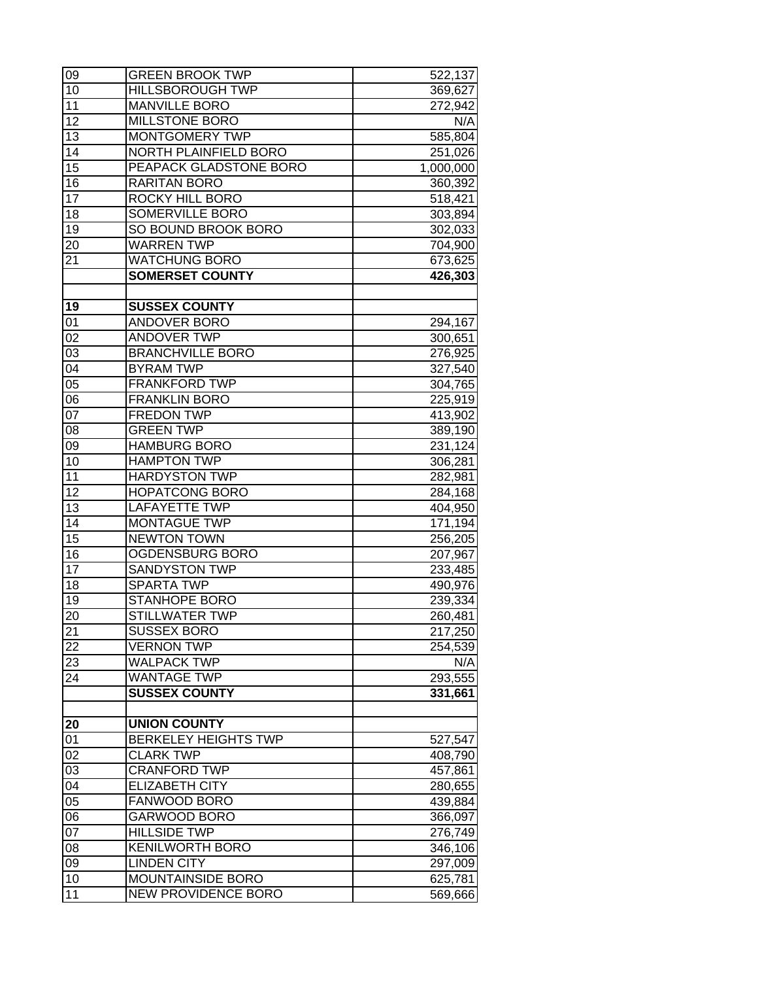| 09              | <b>GREEN BROOK TWP</b>      | 522,137   |
|-----------------|-----------------------------|-----------|
| 10              | <b>HILLSBOROUGH TWP</b>     | 369,627   |
| 11              | <b>MANVILLE BORO</b>        | 272,942   |
| 12              | <b>MILLSTONE BORO</b>       | N/A       |
| 13              | MONTGOMERY TWP              | 585,804   |
| 14              | NORTH PLAINFIELD BORO       | 251,026   |
| 15              | PEAPACK GLADSTONE BORO      | 1,000,000 |
| 16              | <b>RARITAN BORO</b>         | 360,392   |
| $\overline{17}$ | <b>ROCKY HILL BORO</b>      | 518,421   |
| 18              | <b>SOMERVILLE BORO</b>      | 303,894   |
| 19              | SO BOUND BROOK BORO         | 302,033   |
| 20              | <b>WARREN TWP</b>           | 704,900   |
| $2\overline{1}$ | <b>WATCHUNG BORO</b>        | 673,625   |
|                 | <b>SOMERSET COUNTY</b>      | 426,303   |
|                 |                             |           |
| 19              | <b>SUSSEX COUNTY</b>        |           |
| 01              | ANDOVER BORO                | 294,167   |
| 02              | <b>ANDOVER TWP</b>          | 300,651   |
| 03              | <b>BRANCHVILLE BORO</b>     | 276,925   |
| 04              | <b>BYRAM TWP</b>            | 327,540   |
| $\overline{05}$ | <b>FRANKFORD TWP</b>        | 304,765   |
| 06              | <b>FRANKLIN BORO</b>        | 225,919   |
| $0\overline{7}$ | <b>FREDON TWP</b>           | 413,902   |
| 08              | <b>GREEN TWP</b>            | 389,190   |
| 09              | <b>HAMBURG BORO</b>         | 231,124   |
| 10              | <b>HAMPTON TWP</b>          | 306,281   |
| 11              | <b>HARDYSTON TWP</b>        | 282,981   |
| 12              | <b>HOPATCONG BORO</b>       | 284,168   |
| 13              | <b>LAFAYETTE TWP</b>        | 404,950   |
| 14              | <b>MONTAGUE TWP</b>         | 171,194   |
| $\overline{15}$ | <b>NEWTON TOWN</b>          | 256,205   |
| 16              | OGDENSBURG BORO             | 207,967   |
| $\overline{17}$ | <b>SANDYSTON TWP</b>        | 233,485   |
| 18              | SPARTA TWP                  | 490,976   |
| 19              | <b>STANHOPE BORO</b>        | 239,334   |
| 20              | <b>STILLWATER TWP</b>       | 260,481   |
| 21              | <b>SUSSEX BORO</b>          | 217,250   |
| 22              | <b>VERNON TWP</b>           | 254,539   |
| 23              | <b>WALPACK TWP</b>          | N/A       |
| 24              | <b>WANTAGE TWP</b>          | 293,555   |
|                 | <b>SUSSEX COUNTY</b>        | 331,661   |
|                 |                             |           |
| 20              | <b>UNION COUNTY</b>         |           |
| 01              | <b>BERKELEY HEIGHTS TWP</b> | 527,547   |
| 02              | <b>CLARK TWP</b>            | 408,790   |
| 03              | <b>CRANFORD TWP</b>         | 457,861   |
| $\overline{04}$ | <b>ELIZABETH CITY</b>       | 280,655   |
| 05              | <b>FANWOOD BORO</b>         | 439,884   |
| 06              | <b>GARWOOD BORO</b>         | 366,097   |
| $\overline{07}$ | <b>HILLSIDE TWP</b>         | 276,749   |
| 08              | <b>KENILWORTH BORO</b>      | 346,106   |
| 09              | <b>LINDEN CITY</b>          | 297,009   |
| 10              | MOUNTAINSIDE BORO           | 625,781   |
| 11              | <b>NEW PROVIDENCE BORO</b>  | 569,666   |